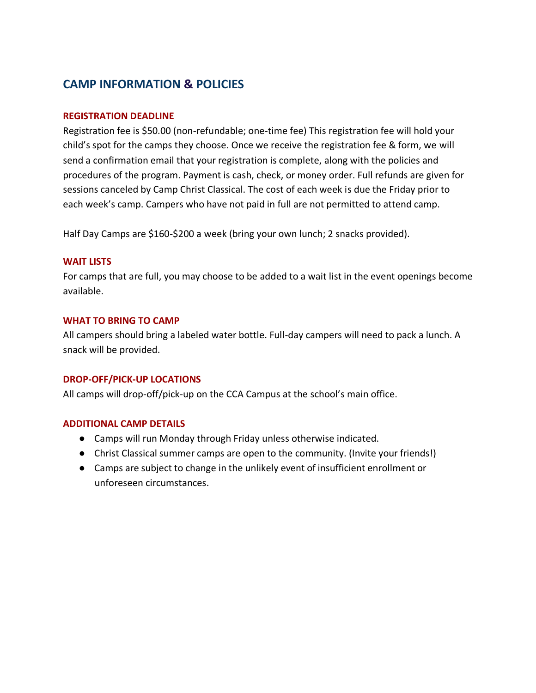## **CAMP INFORMATION & POLICIES**

## **REGISTRATION DEADLINE**

Registration fee is \$50.00 (non-refundable; one-time fee) This registration fee will hold your child's spot for the camps they choose. Once we receive the registration fee & form, we will send a confirmation email that your registration is complete, along with the policies and procedures of the program. Payment is cash, check, or money order. Full refunds are given for sessions canceled by Camp Christ Classical. The cost of each week is due the Friday prior to each week's camp. Campers who have not paid in full are not permitted to attend camp.

Half Day Camps are \$160-\$200 a week (bring your own lunch; 2 snacks provided).

## **WAIT LISTS**

For camps that are full, you may choose to be added to a wait list in the event openings become available.

## **WHAT TO BRING TO CAMP**

All campers should bring a labeled water bottle. Full-day campers will need to pack a lunch. A snack will be provided.

## **DROP-OFF/PICK-UP LOCATIONS**

All camps will drop-off/pick-up on the CCA Campus at the school's main office.

## **ADDITIONAL CAMP DETAILS**

- Camps will run Monday through Friday unless otherwise indicated.
- Christ Classical summer camps are open to the community. (Invite your friends!)
- Camps are subject to change in the unlikely event of insufficient enrollment or unforeseen circumstances.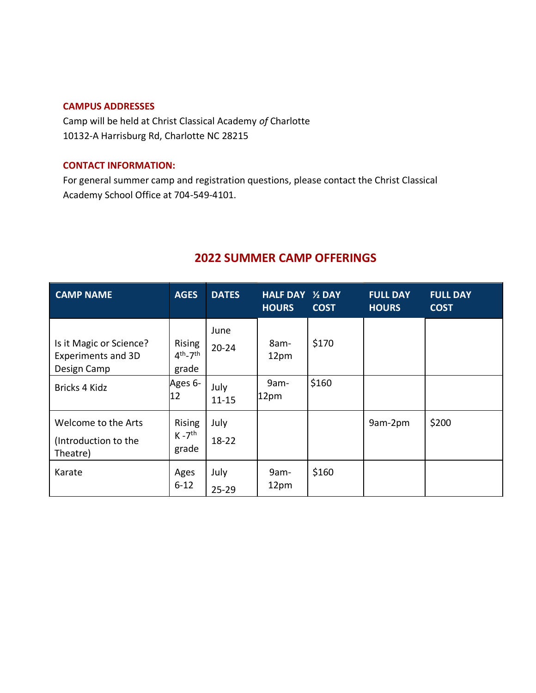## **CAMPUS ADDRESSES**

Camp will be held at Christ Classical Academy *of* Charlotte 10132-A Harrisburg Rd, Charlotte NC 28215

#### **CONTACT INFORMATION:**

For general summer camp and registration questions, please contact the Christ Classical Academy School Office at 704-549-4101.

# **2022 SUMMER CAMP OFFERINGS**

| <b>CAMP NAME</b>                                                    | <b>AGES</b>                              | <b>DATES</b>      | <b>HALF DAY 1/2 DAY</b><br><b>HOURS</b> | <b>COST</b> | <b>FULL DAY</b><br><b>HOURS</b> | <b>FULL DAY</b><br><b>COST</b> |
|---------------------------------------------------------------------|------------------------------------------|-------------------|-----------------------------------------|-------------|---------------------------------|--------------------------------|
| Is it Magic or Science?<br><b>Experiments and 3D</b><br>Design Camp | <b>Rising</b><br>$4th - 7th$<br>grade    | June<br>$20 - 24$ | 8am-<br>12pm                            | \$170       |                                 |                                |
| Bricks 4 Kidz                                                       | Ages 6-<br>12                            | July<br>$11 - 15$ | 9am-<br>12pm                            | \$160       |                                 |                                |
| Welcome to the Arts<br>(Introduction to the<br>Theatre)             | Rising<br>$K - 7$ <sup>th</sup><br>grade | July<br>18-22     |                                         |             | 9am-2pm                         | \$200                          |
| Karate                                                              | Ages<br>$6 - 12$                         | July<br>$25 - 29$ | 9am-<br>12pm                            | \$160       |                                 |                                |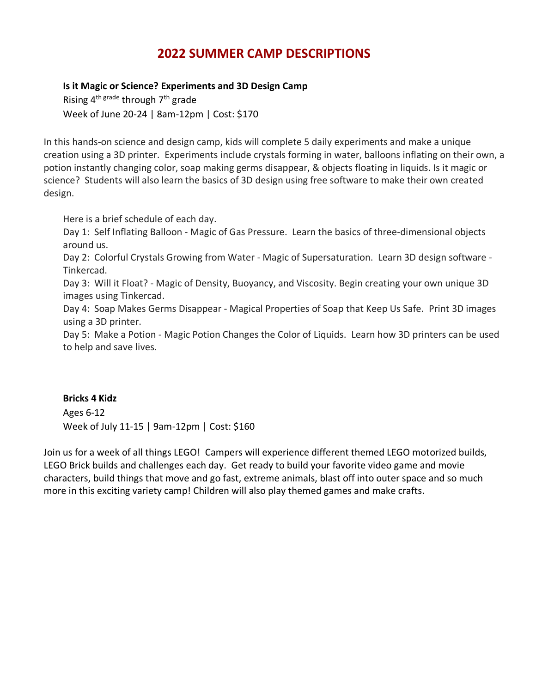# **2022 SUMMER CAMP DESCRIPTIONS**

## **Is it Magic or Science? Experiments and 3D Design Camp**

Rising  $4^{\text{th grade}}$  through  $7^{\text{th}}$  grade Week of June 20-24 | 8am-12pm | Cost: \$170

In this hands-on science and design camp, kids will complete 5 daily experiments and make a unique creation using a 3D printer. Experiments include crystals forming in water, balloons inflating on their own, a potion instantly changing color, soap making germs disappear, & objects floating in liquids. Is it magic or science? Students will also learn the basics of 3D design using free software to make their own created design.

Here is a brief schedule of each day.

Day 1: Self Inflating Balloon - Magic of Gas Pressure. Learn the basics of three-dimensional objects around us.

Day 2: Colorful Crystals Growing from Water - Magic of Supersaturation. Learn 3D design software - Tinkercad.

Day 3: Will it Float? - Magic of Density, Buoyancy, and Viscosity. Begin creating your own unique 3D images using Tinkercad.

Day 4: Soap Makes Germs Disappear - Magical Properties of Soap that Keep Us Safe. Print 3D images using a 3D printer.

Day 5: Make a Potion - Magic Potion Changes the Color of Liquids. Learn how 3D printers can be used to help and save lives.

## **Bricks 4 Kidz**

Ages 6-12 Week of July 11-15 | 9am-12pm | Cost: \$160

Join us for a week of all things LEGO! Campers will experience different themed LEGO motorized builds, LEGO Brick builds and challenges each day. Get ready to build your favorite video game and movie characters, build things that move and go fast, extreme animals, blast off into outer space and so much more in this exciting variety camp! Children will also play themed games and make crafts.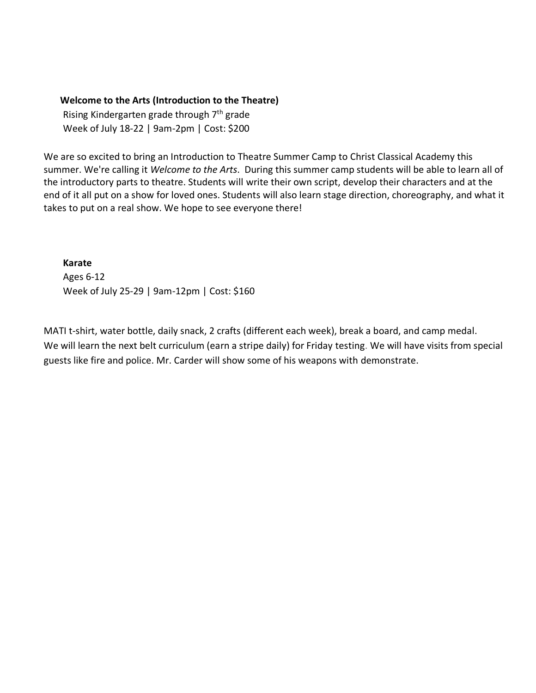#### **Welcome to the Arts (Introduction to the Theatre)**

Rising Kindergarten grade through 7th grade Week of July 18-22 | 9am-2pm | Cost: \$200

We are so excited to bring an Introduction to Theatre Summer Camp to Christ Classical Academy this summer. We're calling it *Welcome to the Arts*. During this summer camp students will be able to learn all of the introductory parts to theatre. Students will write their own script, develop their characters and at the end of it all put on a show for loved ones. Students will also learn stage direction, choreography, and what it takes to put on a real show. We hope to see everyone there!

**Karate** Ages 6-12 Week of July 25-29 | 9am-12pm | Cost: \$160

MATI t-shirt, water bottle, daily snack, 2 crafts (different each week), break a board, and camp medal. We will learn the next belt curriculum (earn a stripe daily) for Friday testing. We will have visits from special guests like fire and police. Mr. Carder will show some of his weapons with demonstrate.